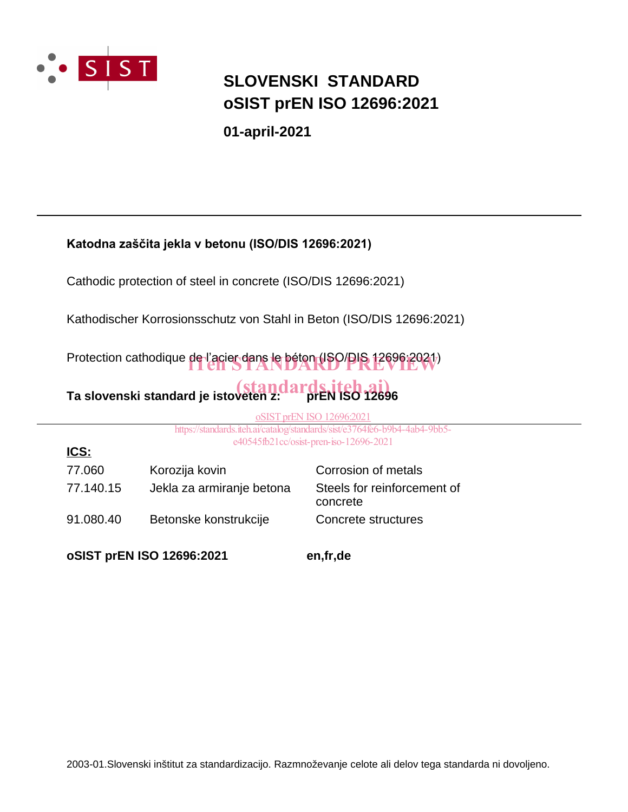

# **SLOVENSKI STANDARD oSIST prEN ISO 12696:2021**

**01-april-2021**

| Katodna zaščita jekla v betonu (ISO/DIS 12696:2021)                                                      |                           |                                                                           |  |  |  |
|----------------------------------------------------------------------------------------------------------|---------------------------|---------------------------------------------------------------------------|--|--|--|
| Cathodic protection of steel in concrete (ISO/DIS 12696:2021)                                            |                           |                                                                           |  |  |  |
| Kathodischer Korrosionsschutz von Stahl in Beton (ISO/DIS 12696:2021)                                    |                           |                                                                           |  |  |  |
| Protection cathodique de l'acier dans le béton (ISO/DIS 12696:2021)                                      |                           |                                                                           |  |  |  |
| (standards.iteh.ai)<br>Ta slovenski standard je istoveten z: preN ISO 12696<br>oSIST prEN ISO 12696:2021 |                           |                                                                           |  |  |  |
|                                                                                                          |                           | https://standards.iteh.ai/catalog/standards/sist/e3764fe6-b9b4-4ab4-9bb5- |  |  |  |
| ICS:                                                                                                     |                           | e40545fb21cc/osist-pren-iso-12696-2021                                    |  |  |  |
| 77.060                                                                                                   | Korozija kovin            | Corrosion of metals                                                       |  |  |  |
| 77.140.15                                                                                                | Jekla za armiranje betona | Steels for reinforcement of<br>concrete                                   |  |  |  |
| 91.080.40                                                                                                | Betonske konstrukcije     | Concrete structures                                                       |  |  |  |

**oSIST prEN ISO 12696:2021 en,fr,de**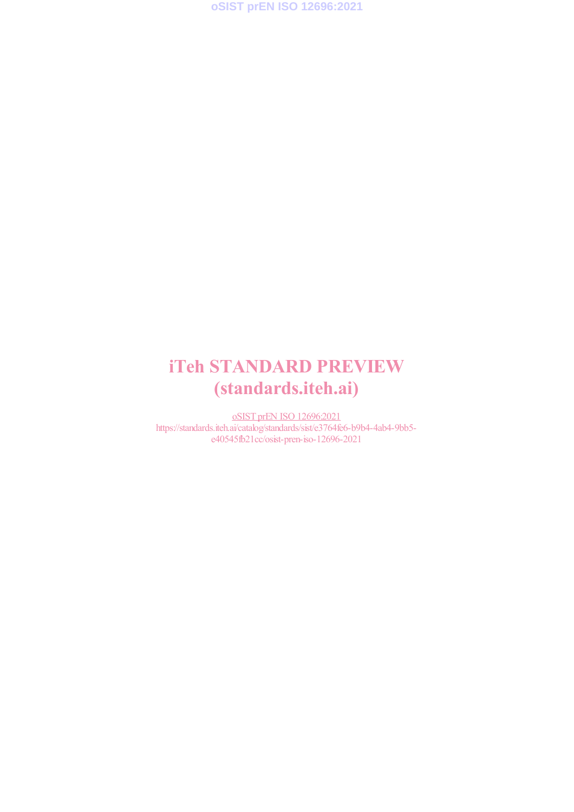**oSIST prEN ISO 12696:2021**

# iTeh STANDARD PREVIEW (standards.iteh.ai)

oSIST prEN ISO 12696:2021 https://standards.iteh.ai/catalog/standards/sist/e3764fe6-b9b4-4ab4-9bb5e40545fb21cc/osist-pren-iso-12696-2021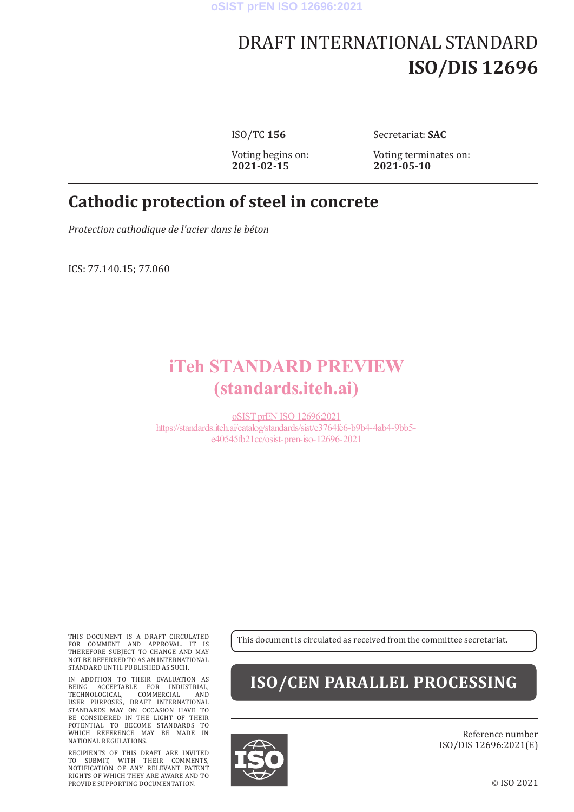# DRAFT INTERNATIONAL STANDARD **ISO/DIS 12696**

ISO/TC **156** Secretariat: **SAC**

Voting begins on: Voting terminates on:<br>2021-02-15<br>2021-05-10 **2021-02-15 2021-05-10**

# **Cathodic protection of steel in concrete**

*Protection cathodique de l'acier dans le béton*

ICS: 77.140.15; 77.060

# iTeh STANDARD PREVIEW (standards.iteh.ai)

oSIST prEN ISO 12696:2021 https://standards.iteh.ai/catalog/standards/sist/e3764fe6-b9b4-4ab4-9bb5 e40545fb21cc/osist-pren-iso-12696-2021

THIS DOCUMENT IS A DRAFT CIRCULATED FOR COMMENT AND APPROVAL. IT IS THEREFORE SUBJECT TO CHANGE AND MAY NOT BE REFERRED TO AS AN INTERNATIONAL STANDARD UNTIL PUBLISHED AS SUCH.

IN ADDITION TO THEIR EVALUATION AS BEING ACCEPTABLE FOR INDUSTRIAL, TECHNOLOGICAL, COMMERCIAL AND USER PURPOSES, DRAFT INTERNATIONAL STANDARDS MAY ON OCCASION HAVE TO BE CONSIDERED IN THE LIGHT OF THEIR POTENTIAL TO BECOME STANDARDS TO WHICH REFERENCE MAY BE MADE IN NATIONAL REGULATIONS.

RECIPIENTS OF THIS DRAFT ARE INVITED TO SUBMIT, WITH THEIR COMMENTS, NOTIFICATION OF ANY RELEVANT PATENT RIGHTS OF WHICH THEY ARE AWARE AND TO PROVIDE SUPPORTING DOCUMENTATION.

This document is circulated as received from the committee secretariat.

# **ISO/CEN PARALLEL PROCESSING**



Reference number ISO/DIS 12696:2021(E)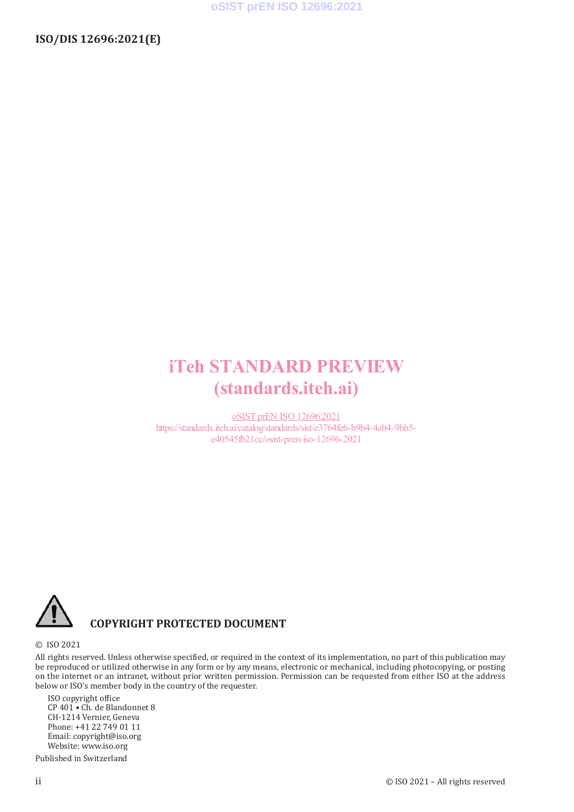# iTeh STANDARD PREVIEW (standards.iteh.ai)

oSIST prEN ISO 12696:2021 https://standards.iteh.ai/catalog/standards/sist/e3764fe6-b9b4-4ab4-9bb5 e40545fb21cc/osist-pren-iso-12696-2021



# **COPYRIGHT PROTECTED DOCUMENT**

#### © ISO 2021

All rights reserved. Unless otherwise specified, or required in the context of its implementation, no part of this publication may be reproduced or utilized otherwise in any form or by any means, electronic or mechanical, including photocopying, or posting on the internet or an intranet, without prior written permission. Permission can be requested from either ISO at the address below or ISO's member body in the country of the requester.

ISO copyright office CP 401 • Ch. de Blandonnet 8 CH-1214 Vernier, Geneva Phone: +41 22 749 01 11 Email: copyright@iso.org Website: www.iso.org Published in Switzerland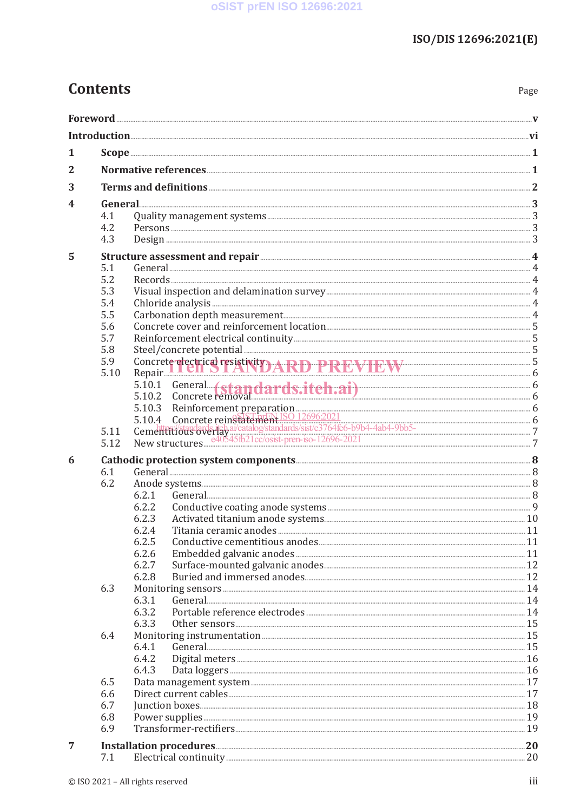# **Contents**

| ×<br>I |
|--------|
|--------|

| 1 |            |                                                                                                                                                                                                                            |  |
|---|------------|----------------------------------------------------------------------------------------------------------------------------------------------------------------------------------------------------------------------------|--|
| 2 |            |                                                                                                                                                                                                                            |  |
| 3 |            |                                                                                                                                                                                                                            |  |
|   |            |                                                                                                                                                                                                                            |  |
| 4 | 4.1        | General 23                                                                                                                                                                                                                 |  |
|   | 4.2        |                                                                                                                                                                                                                            |  |
|   | 4.3        |                                                                                                                                                                                                                            |  |
| 5 |            | Structure assessment and repair <b>Election Construction</b> 4                                                                                                                                                             |  |
|   | 5.1        |                                                                                                                                                                                                                            |  |
|   | 5.2        |                                                                                                                                                                                                                            |  |
|   | 5.3        |                                                                                                                                                                                                                            |  |
|   | 5.4        |                                                                                                                                                                                                                            |  |
|   | 5.5        |                                                                                                                                                                                                                            |  |
|   | 5.6        |                                                                                                                                                                                                                            |  |
|   | 5.7        |                                                                                                                                                                                                                            |  |
|   | 5.8<br>5.9 |                                                                                                                                                                                                                            |  |
|   | 5.10       | Concrete electrical resistivity ARD PREVIEW 5                                                                                                                                                                              |  |
|   |            | 5.10.1                                                                                                                                                                                                                     |  |
|   |            | General (standards.itch.ai) 6<br>5.10.2                                                                                                                                                                                    |  |
|   |            |                                                                                                                                                                                                                            |  |
|   |            |                                                                                                                                                                                                                            |  |
|   | 5.11       | 5.10.3 Reinforcement preparation<br>5.10.4 Concrete reinstatement ISO 12696:2021<br>Cemerittious dverlay averation of the Sandards/sist/e3764fe6-b9b4-4ab4-9bb5-<br>7 New structurese40545fb21cc/osist-pren-iso-12696-2021 |  |
|   | 5.12       |                                                                                                                                                                                                                            |  |
| 6 |            | Cathodic protection system components <b>Exercise Section</b> 3                                                                                                                                                            |  |
|   | 6.1        |                                                                                                                                                                                                                            |  |
|   | 6.2        |                                                                                                                                                                                                                            |  |
|   |            | 6.2.1<br>General 2008 and 2008 and 2008 and 2008 and 2008 and 2008 and 2008 and 2008 and 2008 and 2008 and 2008 and 200<br>6.2.2                                                                                           |  |
|   |            | 6.2.3                                                                                                                                                                                                                      |  |
|   |            | 6.2.4                                                                                                                                                                                                                      |  |
|   |            | 6.2.5                                                                                                                                                                                                                      |  |
|   |            | 6.2.6                                                                                                                                                                                                                      |  |
|   |            | 6.2.7                                                                                                                                                                                                                      |  |
|   |            | 6.2.8                                                                                                                                                                                                                      |  |
|   | 6.3        |                                                                                                                                                                                                                            |  |
|   |            | 6.3.1                                                                                                                                                                                                                      |  |
|   |            | 6.3.2<br>6.3.3                                                                                                                                                                                                             |  |
|   | 6.4        |                                                                                                                                                                                                                            |  |
|   |            | 6.4.1                                                                                                                                                                                                                      |  |
|   |            | 6.4.2                                                                                                                                                                                                                      |  |
|   |            | 6.4.3                                                                                                                                                                                                                      |  |
|   | 6.5        |                                                                                                                                                                                                                            |  |
|   | 6.6        |                                                                                                                                                                                                                            |  |
|   | 6.7        |                                                                                                                                                                                                                            |  |
|   | 6.8<br>6.9 |                                                                                                                                                                                                                            |  |
|   |            |                                                                                                                                                                                                                            |  |
| 7 |            |                                                                                                                                                                                                                            |  |
|   | 7.1        |                                                                                                                                                                                                                            |  |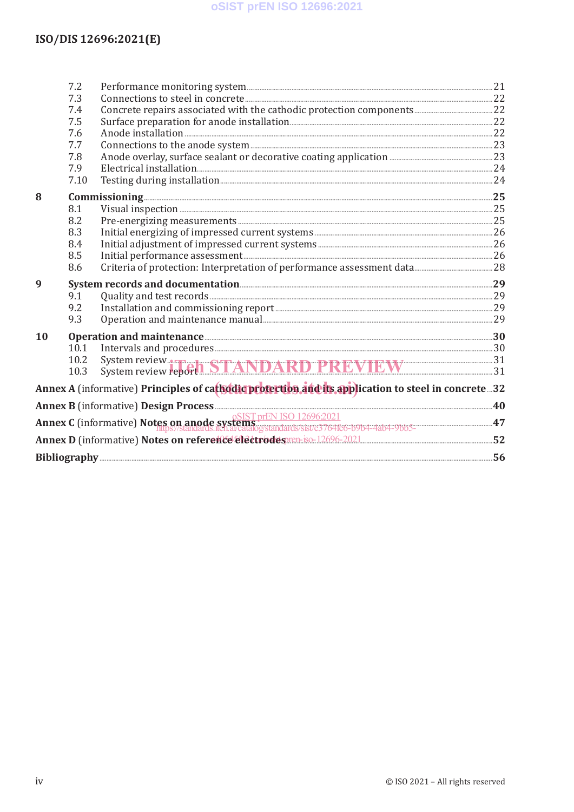|           | 7.2  |                                                                                                                                                                                    |  |
|-----------|------|------------------------------------------------------------------------------------------------------------------------------------------------------------------------------------|--|
|           | 7.3  |                                                                                                                                                                                    |  |
|           | 7.4  |                                                                                                                                                                                    |  |
|           | 7.5  |                                                                                                                                                                                    |  |
|           | 7.6  | Anode installation 22 22                                                                                                                                                           |  |
|           | 7.7  |                                                                                                                                                                                    |  |
|           | 7.8  |                                                                                                                                                                                    |  |
|           | 7.9  |                                                                                                                                                                                    |  |
|           | 7.10 |                                                                                                                                                                                    |  |
| 8         |      | Commissioning 25                                                                                                                                                                   |  |
|           | 8.1  |                                                                                                                                                                                    |  |
|           | 8.2  |                                                                                                                                                                                    |  |
|           | 8.3  |                                                                                                                                                                                    |  |
|           | 8.4  |                                                                                                                                                                                    |  |
|           | 8.5  |                                                                                                                                                                                    |  |
|           | 8.6  |                                                                                                                                                                                    |  |
| 9         |      |                                                                                                                                                                                    |  |
|           | 9.1  |                                                                                                                                                                                    |  |
|           | 9.2  | Installation and commissioning report <b>Manual According the Contract Office</b> 29                                                                                               |  |
|           |      |                                                                                                                                                                                    |  |
|           | 9.3  | Operation and maintenance manual <b>contract of the Contract Operation</b> 29                                                                                                      |  |
|           |      |                                                                                                                                                                                    |  |
| <b>10</b> | 10.1 |                                                                                                                                                                                    |  |
|           | 10.2 |                                                                                                                                                                                    |  |
|           | 10.3 | System review<br>System review<br>PREVIEW<br>31<br>31<br>31                                                                                                                        |  |
|           |      | Annex A (informative) Principles of cathodic protection and its application to steel in concrete  32                                                                               |  |
|           |      |                                                                                                                                                                                    |  |
|           |      |                                                                                                                                                                                    |  |
|           |      | OSIST pren ISO 126962021<br>Annex C (informative) Notes on anode systems<br>47 Annex C (informative) Notes on anode systems when alreading standards sist/e3764fe6-b9b4-4ab4-9bb5- |  |
|           |      |                                                                                                                                                                                    |  |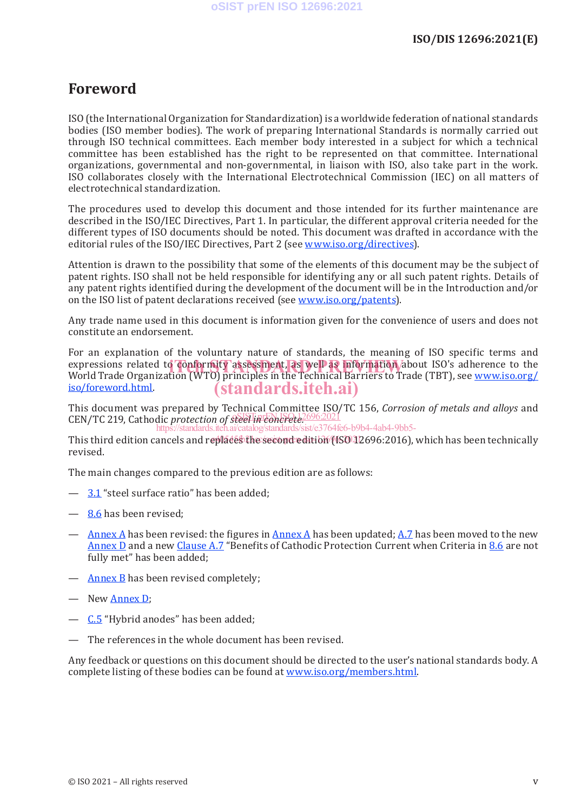# **Foreword**

ISO (the International Organization for Standardization) is a worldwide federation of national standards bodies (ISO member bodies). The work of preparing International Standards is normally carried out through ISO technical committees. Each member body interested in a subject for which a technical committee has been established has the right to be represented on that committee. International organizations, governmental and non-governmental, in liaison with ISO, also take part in the work. ISO collaborates closely with the International Electrotechnical Commission (IEC) on all matters of electrotechnical standardization.

The procedures used to develop this document and those intended for its further maintenance are described in the ISO/IEC Directives, Part 1. In particular, the different approval criteria needed for the different types of ISO documents should be noted. This document was drafted in accordance with the editorial rules of the ISO/IEC Directives, Part 2 (see www.iso.org/directives).

Attention is drawn to the possibility that some of the elements of this document may be the subject of patent rights. ISO shall not be held responsible for identifying any or all such patent rights. Details of any patent rights identified during the development of the document will be in the Introduction and/or on the ISO list of patent declarations received (see www.iso.org/patents).

Any trade name used in this document is information given for the convenience of users and does not constitute an endorsement.

For an explanation of the voluntary nature of standards, the meaning of ISO specific terms and expressions related to conformity assessment, as well as information about ISO's adherence to the experience or<br>World Trade Organization (WTO) principles in the Technical Barriers to Trade (TBT), see www.iso.org/ World Trade Organization (WTO) principles in the Technical Barriers to Trade (TBT), see www.iso.org/ iso/foreword.html. (standards.iteh.ai)

This document was prepared by Technical Committee ISO/TC 156, *Corrosion of metals and alloys* and CEN/TC 219, Cathodic *protection of steel in concrete.* https://standards.iteh.ai/catalog/standards/sist/e3764fe6-b9b4-4ab4-9bb5-

This third edition cancels and replaces the second edition (ISO 12696:2016), which has been technically revised.

The main changes compared to the previous edition are as follows:

- 3.1 "steel surface ratio" has been added;
- 8.6 has been revised;
- $\overline{a}$  Annex A has been revised: the figures in Annex A has been updated; A.7 has been moved to the new Annex D and a new Clause A.7 "Benefits of Cathodic Protection Current when Criteria in 8.6 are not fully met" has been added;
- Annex B has been revised completely;
- New Annex D;
- C.5 "Hybrid anodes" has been added;
- The references in the whole document has been revised.

Any feedback or questions on this document should be directed to the user's national standards body. A complete listing of these bodies can be found at www.iso.org/members.html.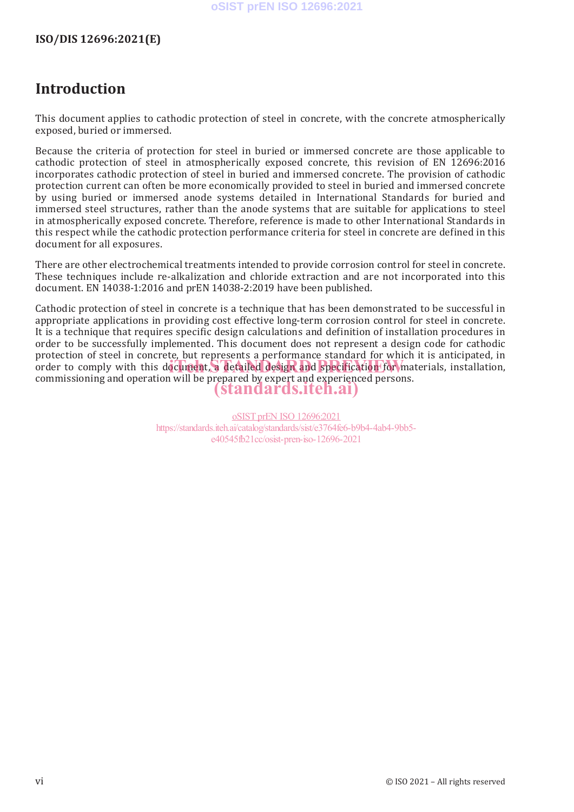# **Introduction**

This document applies to cathodic protection of steel in concrete, with the concrete atmospherically exposed, buried or immersed.

Because the criteria of protection for steel in buried or immersed concrete are those applicable to cathodic protection of steel in atmospherically exposed concrete, this revision of EN 12696:2016 incorporates cathodic protection of steel in buried and immersed concrete. The provision of cathodic protection current can often be more economically provided to steel in buried and immersed concrete by using buried or immersed anode systems detailed in International Standards for buried and immersed steel structures, rather than the anode systems that are suitable for applications to steel in atmospherically exposed concrete. Therefore, reference is made to other International Standards in this respect while the cathodic protection performance criteria for steel in concrete are defined in this document for all exposures.

There are other electrochemical treatments intended to provide corrosion control for steel in concrete. These techniques include re-alkalization and chloride extraction and are not incorporated into this document. EN 14038-1:2016 and prEN 14038-2:2019 have been published.

Cathodic protection of steel in concrete is a technique that has been demonstrated to be successful in appropriate applications in providing cost effective long-term corrosion control for steel in concrete. It is a technique that requires specific design calculations and definition of installation procedures in order to be successfully implemented. This document does not represent a design code for cathodic protection of steel in concrete, but represents a performance standard for which it is anticipated, in procedular or seed in concrete, but represents a performance standard for which it is anticipated, in order to comply with this document, a detailed design and specification for materials, installation, commissioning and operation will be prepared by expert and experienced persons. (standards.iteh.ai)

> oSIST prEN ISO 12696:2021 https://standards.iteh.ai/catalog/standards/sist/e3764fe6-b9b4-4ab4-9bb5 e40545fb21cc/osist-pren-iso-12696-2021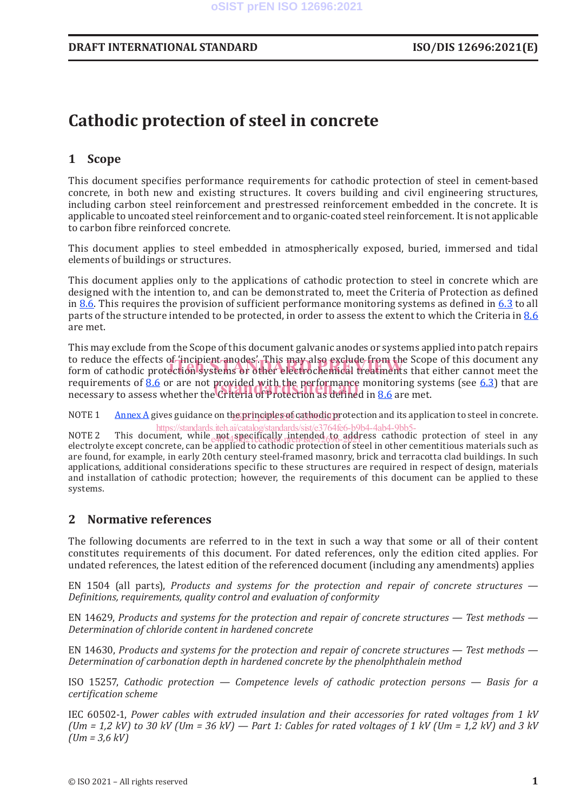# **Cathodic protection of steel in concrete**

# **1 Scope**

This document specifies performance requirements for cathodic protection of steel in cement-based concrete, in both new and existing structures. It covers building and civil engineering structures, including carbon steel reinforcement and prestressed reinforcement embedded in the concrete. It is applicable to uncoated steel reinforcement and to organic-coated steel reinforcement. It is not applicable to carbon fibre reinforced concrete.

This document applies to steel embedded in atmospherically exposed, buried, immersed and tidal elements of buildings or structures.

This document applies only to the applications of cathodic protection to steel in concrete which are designed with the intention to, and can be demonstrated to, meet the Criteria of Protection as defined in 8.6. This requires the provision of sufficient performance monitoring systems as defined in 6.3 to all parts of the structure intended to be protected, in order to assess the extent to which the Criteria in 8.6 are met.

This may exclude from the Scope of this document galvanic anodes or systems applied into patch repairs to reduce the effects of 'incipient anodes'. This may also exclude from the Scope of this document any to reduce the effects of incipient anodes. This may also exclude from the Scope of this document any<br>form of cathodic protection systems or other electrochemical treatments that either cannot meet the requirements of 8.6 or are not provided with the performance monitoring systems (see 6.3) that are requirements of <u>8.6</u> or are not provided with the performance monitoring sys<br>necessary to assess whether the Criteria of Protection as defined in <u>8.6</u> are met.

NOTE 1 <u>Annex A</u> gives guidance on th<u>e principles of cathodic pr</u>otection and its application to steel in concrete. https://standards.iteh.ai/catalog/standards/sist/e3764fe6-b9b4-4ab4-9bb5-

NOTE 2 This document, while  $\frac{1}{4}$  of specifically intended to address cathodic protection of steel in any electrolyte except concrete, can be applied to cathodic protection of steel in other cementitious materials such as are found, for example, in early 20th century steel-framed masonry, brick and terracotta clad buildings. In such applications, additional considerations specific to these structures are required in respect of design, materials and installation of cathodic protection; however, the requirements of this document can be applied to these systems. e40545fb21cc/osist-pren-iso-12696-2021

## **2 Normative references**

The following documents are referred to in the text in such a way that some or all of their content constitutes requirements of this document. For dated references, only the edition cited applies. For undated references, the latest edition of the referenced document (including any amendments) applies

EN 1504 (all parts), *Products and systems for the protection and repair of concrete structures — Definitions, requirements, quality control and evaluation of conformity*

EN 14629, *Products and systems for the protection and repair of concrete structures — Test methods — Determination of chloride content in hardened concrete*

EN 14630, *Products and systems for the protection and repair of concrete structures — Test methods — Determination of carbonation depth in hardened concrete by the phenolphthalein method*

ISO 15257, *Cathodic protection — Competence levels of cathodic protection persons — Basis for a certification scheme*

IEC 60502-1, *Power cables with extruded insulation and their accessories for rated voltages from 1 kV*   $(Um = 1,2 kV)$  to 30 kV (Um = 36 kV) — Part 1: Cables for rated voltages of 1 kV (Um = 1,2 kV) and 3 kV *(Um = 3,6 kV)*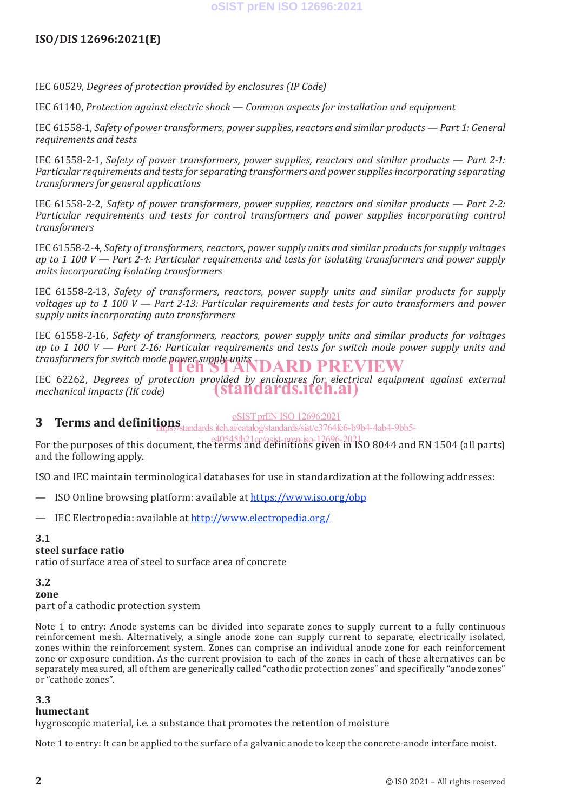IEC 60529, *Degrees of protection provided by enclosures (IP Code)*

IEC 61140, *Protection against electric shock — Common aspects for installation and equipment*

IEC 61558-1, *Safety of power transformers, power supplies, reactors and similar products — Part 1: General requirements and tests*

IEC 61558-2-1, *Safety of power transformers, power supplies, reactors and similar products — Part 2-1: Particular requirements and tests for separating transformers and power supplies incorporating separating transformers for general applications*

IEC 61558-2-2, *Safety of power transformers, power supplies, reactors and similar products — Part 2-2: Particular requirements and tests for control transformers and power supplies incorporating control transformers*

IEC 61558-2-4, *Safety of transformers, reactors, power supply units and similar products for supply voltages up to 1 100 V — Part 2-4: Particular requirements and tests for isolating transformers and power supply units incorporating isolating transformers*

IEC 61558-2-13, *Safety of transformers, reactors, power supply units and similar products for supply voltages up to 1 100 V — Part 2-13: Particular requirements and tests for auto transformers and power supply units incorporating auto transformers*

IEC 61558-2-16, *Safety of transformers, reactors, power supply units and similar products for voltages up to 1 100 V — Part 2-16: Particular requirements and tests for switch mode power supply units and*  transformers for switch mode power supply units<br> **ITEH STANDARD PREVIEW** 

IEC 62262, *Degrees of protection provided by enclosures for electrical equipment against external mechanical impacts (IK code)* (standards.iteh.ai)

#### oSIST prEN ISO 12696:2021

**3 Terms and definitions**<br> **18 Terms and definitions**<br> **18 Internal and Set of Abdulus** *new and ards/standards/sist/e3764fe6-b9b4-4ab4-9bb5-*

For the purposes of this document, the terms and definitions given in ISO 8044 and EN 1504 (all parts) and the following apply.

ISO and IEC maintain terminological databases for use in standardization at the following addresses:

- ISO Online browsing platform: available at https://www.iso.org/obp
- IEC Electropedia: available at http://www.electropedia.org/

#### **3.1**

#### **steel surface ratio**

ratio of surface area of steel to surface area of concrete

### **3.2**

#### **zone**

part of a cathodic protection system

Note 1 to entry: Anode systems can be divided into separate zones to supply current to a fully continuous reinforcement mesh. Alternatively, a single anode zone can supply current to separate, electrically isolated, zones within the reinforcement system. Zones can comprise an individual anode zone for each reinforcement zone or exposure condition. As the current provision to each of the zones in each of these alternatives can be separately measured, all of them are generically called "cathodic protection zones" and specifically "anode zones" or "cathode zones".

#### **3.3**

#### **humectant**

hygroscopic material, i.e. a substance that promotes the retention of moisture

Note 1 to entry: It can be applied to the surface of a galvanic anode to keep the concrete-anode interface moist.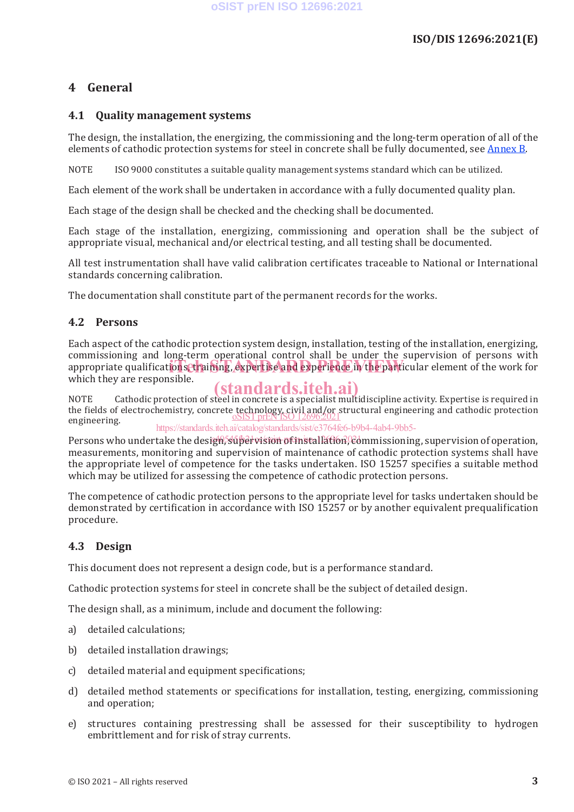# **4 General**

### **4.1 Quality management systems**

The design, the installation, the energizing, the commissioning and the long-term operation of all of the elements of cathodic protection systems for steel in concrete shall be fully documented, see Annex B.

NOTE ISO 9000 constitutes a suitable quality management systems standard which can be utilized.

Each element of the work shall be undertaken in accordance with a fully documented quality plan.

Each stage of the design shall be checked and the checking shall be documented.

Each stage of the installation, energizing, commissioning and operation shall be the subject of appropriate visual, mechanical and/or electrical testing, and all testing shall be documented.

All test instrumentation shall have valid calibration certificates traceable to National or International standards concerning calibration.

The documentation shall constitute part of the permanent records for the works.

## **4.2 Persons**

Each aspect of the cathodic protection system design, installation, testing of the installation, energizing, commissioning and long-term operational control shall be under the supervision of persons with commissioning and long term operational control share be under the supervision of persons with<br>appropriate qualifications training, expertise and experience in the particular element of the work for which they are responsible.

# (standards.iteh.ai)

NOTE Cathodic protection of steel in concrete is a specialist multidiscipline activity. Expertise is required in the fields of electrochemistry, concrete technology, civil and/or structural engineering and cathodic protection<br>OSIST prEN ISO 12696:2021 engineering. https://standards.iteh.ai/catalog/standards/sist/e3764fe6-b9b4-4ab4-9bb5-

Persons who undertake the desigh, stipervision of installation, commissioning, supervision of operation, measurements, monitoring and supervision of maintenance of cathodic protection systems shall have the appropriate level of competence for the tasks undertaken. ISO 15257 specifies a suitable method which may be utilized for assessing the competence of cathodic protection persons.

The competence of cathodic protection persons to the appropriate level for tasks undertaken should be demonstrated by certification in accordance with ISO 15257 or by another equivalent prequalification procedure.

## **4.3 Design**

This document does not represent a design code, but is a performance standard.

Cathodic protection systems for steel in concrete shall be the subject of detailed design.

The design shall, as a minimum, include and document the following:

- a) detailed calculations;
- b) detailed installation drawings;
- c) detailed material and equipment specifications;
- d) detailed method statements or specifications for installation, testing, energizing, commissioning and operation;
- e) structures containing prestressing shall be assessed for their susceptibility to hydrogen embrittlement and for risk of stray currents.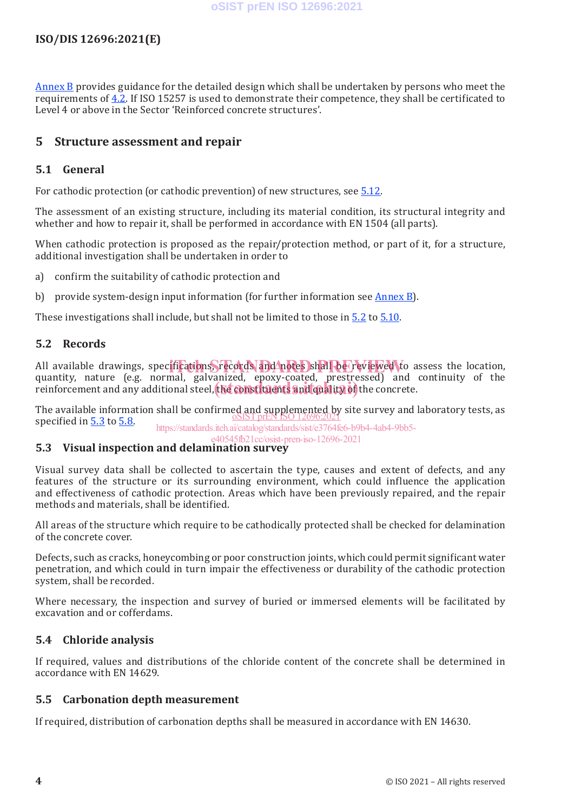Annex B provides guidance for the detailed design which shall be undertaken by persons who meet the requirements of 4.2. If ISO 15257 is used to demonstrate their competence, they shall be certificated to Level 4 or above in the Sector 'Reinforced concrete structures'.

### **5 Structure assessment and repair**

### **5.1 General**

For cathodic protection (or cathodic prevention) of new structures, see 5.12.

The assessment of an existing structure, including its material condition, its structural integrity and whether and how to repair it, shall be performed in accordance with EN 1504 (all parts).

When cathodic protection is proposed as the repair/protection method, or part of it, for a structure, additional investigation shall be undertaken in order to

- a) confirm the suitability of cathodic protection and
- b) provide system-design input information (for further information see  $\Delta n$ nex B).

These investigations shall include, but shall not be limited to those in 5.2 to 5.10.

### **5.2 Records**

All available drawings, specifications, records and notes shall be reviewed to assess the location, quantity, nature (e.g. normal, galvanized, epoxy-coated, prestressed) and continuity of the quantity, hattite (e.g. normal, galvanized, epoxy-coated, prestressed) and<br>reinforcement and any additional steel, the constituents and quality of the concrete.

The available information shall be confirmed and supplemented by site survey and laboratory tests, as sensitively and laboratory tests, as sensitively in 5.3 to 5.8 specified in 5.3 to 5.8.

https://standards.iteh.ai/catalog/standards/sist/e3764fe6-b9b4-4ab4-9bb5 e40545fb21cc/osist-pren-iso-12696-2021

### **5.3 Visual inspection and delamination survey**

Visual survey data shall be collected to ascertain the type, causes and extent of defects, and any features of the structure or its surrounding environment, which could influence the application and effectiveness of cathodic protection. Areas which have been previously repaired, and the repair methods and materials, shall be identified.

All areas of the structure which require to be cathodically protected shall be checked for delamination of the concrete cover.

Defects, such as cracks, honeycombing or poor construction joints, which could permit significant water penetration, and which could in turn impair the effectiveness or durability of the cathodic protection system, shall be recorded.

Where necessary, the inspection and survey of buried or immersed elements will be facilitated by excavation and or cofferdams.

### **5.4 Chloride analysis**

If required, values and distributions of the chloride content of the concrete shall be determined in accordance with EN 14629.

#### **5.5 Carbonation depth measurement**

If required, distribution of carbonation depths shall be measured in accordance with EN 14630.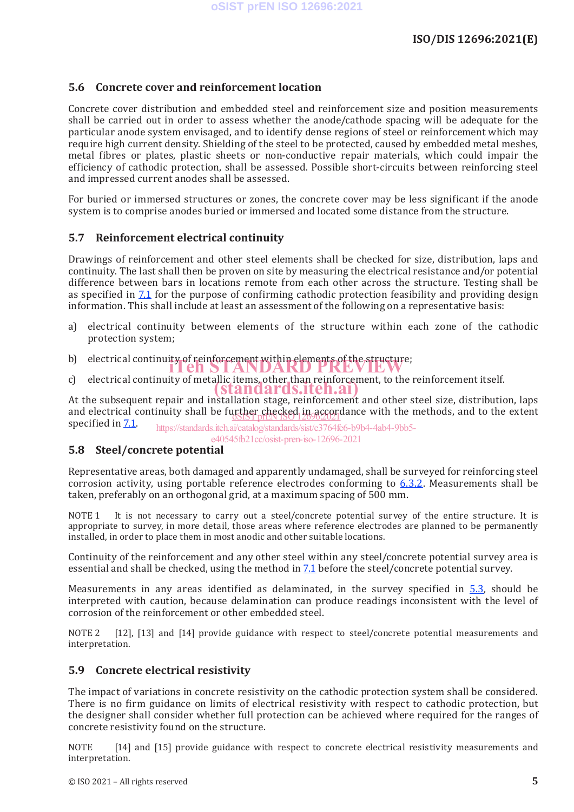### **5.6 Concrete cover and reinforcement location**

Concrete cover distribution and embedded steel and reinforcement size and position measurements shall be carried out in order to assess whether the anode/cathode spacing will be adequate for the particular anode system envisaged, and to identify dense regions of steel or reinforcement which may require high current density. Shielding of the steel to be protected, caused by embedded metal meshes, metal fibres or plates, plastic sheets or non-conductive repair materials, which could impair the efficiency of cathodic protection, shall be assessed. Possible short-circuits between reinforcing steel and impressed current anodes shall be assessed.

For buried or immersed structures or zones, the concrete cover may be less significant if the anode system is to comprise anodes buried or immersed and located some distance from the structure.

#### **5.7 Reinforcement electrical continuity**

Drawings of reinforcement and other steel elements shall be checked for size, distribution, laps and continuity. The last shall then be proven on site by measuring the electrical resistance and/or potential difference between bars in locations remote from each other across the structure. Testing shall be as specified in 7.1 for the purpose of confirming cathodic protection feasibility and providing design information. This shall include at least an assessment of the following on a representative basis:

- a) electrical continuity between elements of the structure within each zone of the cathodic protection system;
- b) electrical continuity of reinforcement within elements of the structure; **iTen STANDARD PRE**
- c) electrical continuity of metallic items, other than reinforcement, to the reinforcement itself. (standards.iteh.ai)

At the subsequent repair and installation stage, reinforcement and other steel size, distribution, laps and electrical continuity shall be further checked in accordance with the methods, and to the extent and strengthenry of the stent specified in 7.1.

https://standards.iteh.ai/catalog/standards/sist/e3764fe6-b9b4-4ab4-9bb5-

e40545fb21cc/osist-pren-iso-12696-2021

### **5.8 Steel/concrete potential**

Representative areas, both damaged and apparently undamaged, shall be surveyed for reinforcing steel corrosion activity, using portable reference electrodes conforming to 6.3.2. Measurements shall be taken, preferably on an orthogonal grid, at a maximum spacing of 500 mm.

NOTE 1 It is not necessary to carry out a steel/concrete potential survey of the entire structure. It is appropriate to survey, in more detail, those areas where reference electrodes are planned to be permanently installed, in order to place them in most anodic and other suitable locations.

Continuity of the reinforcement and any other steel within any steel/concrete potential survey area is essential and shall be checked, using the method in 7.1 before the steel/concrete potential survey.

Measurements in any areas identified as delaminated, in the survey specified in 5.3, should be interpreted with caution, because delamination can produce readings inconsistent with the level of corrosion of the reinforcement or other embedded steel.

NOTE 2 [12], [13] and [14] provide guidance with respect to steel/concrete potential measurements and interpretation.

#### **5.9 Concrete electrical resistivity**

The impact of variations in concrete resistivity on the cathodic protection system shall be considered. There is no firm guidance on limits of electrical resistivity with respect to cathodic protection, but the designer shall consider whether full protection can be achieved where required for the ranges of concrete resistivity found on the structure.

NOTE [14] and [15] provide guidance with respect to concrete electrical resistivity measurements and interpretation.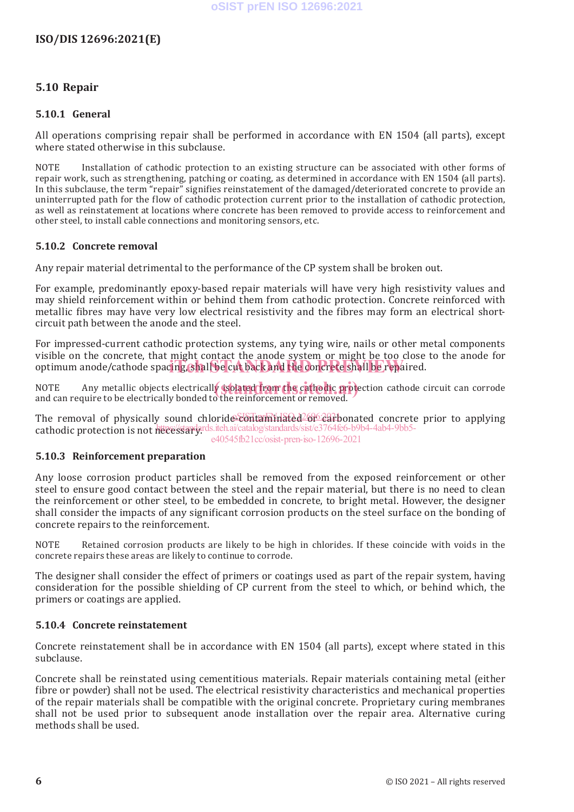### **5.10 Repair**

#### **5.10.1 General**

All operations comprising repair shall be performed in accordance with EN 1504 (all parts), except where stated otherwise in this subclause.

NOTE Installation of cathodic protection to an existing structure can be associated with other forms of repair work, such as strengthening, patching or coating, as determined in accordance with EN 1504 (all parts). In this subclause, the term "repair" signifies reinstatement of the damaged/deteriorated concrete to provide an uninterrupted path for the flow of cathodic protection current prior to the installation of cathodic protection, as well as reinstatement at locations where concrete has been removed to provide access to reinforcement and other steel, to install cable connections and monitoring sensors, etc.

#### **5.10.2 Concrete removal**

Any repair material detrimental to the performance of the CP system shall be broken out.

For example, predominantly epoxy-based repair materials will have very high resistivity values and may shield reinforcement within or behind them from cathodic protection. Concrete reinforced with metallic fibres may have very low electrical resistivity and the fibres may form an electrical shortcircuit path between the anode and the steel.

For impressed-current cathodic protection systems, any tying wire, nails or other metal components visible on the concrete, that might contact the anode system or might be too close to the anode for optimum anode/cathode spacing, shall be cut back and the concrete shall be repaired.

NOTE Any metallic objects electrically **isolated from the cathodic prot**ection cathode circuit can corrode and can require to be electrically bonded to the rejufacement or removed and can require to be electrically bonded to the reinforcement or removed.

The removal of physically sound chloride-contaminated or carbonated concrete prior to applying cathodic protection is not hece staryards.iteh.ai/catalog/standards/sist/e3764fe6-b9b4-4ab4-9bb5e40545fb21cc/osist-pren-iso-12696-2021

#### **5.10.3 Reinforcement preparation**

Any loose corrosion product particles shall be removed from the exposed reinforcement or other steel to ensure good contact between the steel and the repair material, but there is no need to clean the reinforcement or other steel, to be embedded in concrete, to bright metal. However, the designer shall consider the impacts of any significant corrosion products on the steel surface on the bonding of concrete repairs to the reinforcement.

NOTE Retained corrosion products are likely to be high in chlorides. If these coincide with voids in the concrete repairs these areas are likely to continue to corrode.

The designer shall consider the effect of primers or coatings used as part of the repair system, having consideration for the possible shielding of CP current from the steel to which, or behind which, the primers or coatings are applied.

#### **5.10.4 Concrete reinstatement**

Concrete reinstatement shall be in accordance with EN 1504 (all parts), except where stated in this subclause.

Concrete shall be reinstated using cementitious materials. Repair materials containing metal (either fibre or powder) shall not be used. The electrical resistivity characteristics and mechanical properties of the repair materials shall be compatible with the original concrete. Proprietary curing membranes shall not be used prior to subsequent anode installation over the repair area. Alternative curing methods shall be used.